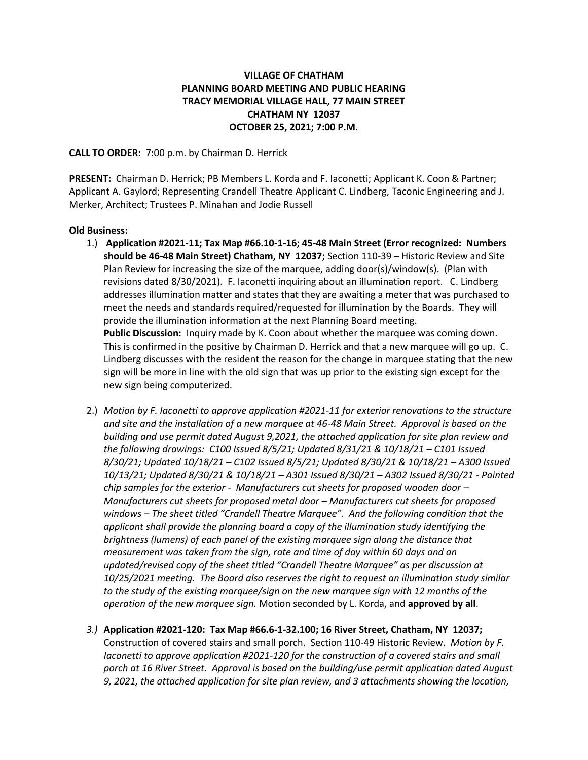# **VILLAGE OF CHATHAM PLANNING BOARD MEETING AND PUBLIC HEARING TRACY MEMORIAL VILLAGE HALL, 77 MAIN STREET CHATHAM NY 12037 OCTOBER 25, 2021; 7:00 P.M.**

## **CALL TO ORDER:** 7:00 p.m. by Chairman D. Herrick

**PRESENT:** Chairman D. Herrick; PB Members L. Korda and F. Iaconetti; Applicant K. Coon & Partner; Applicant A. Gaylord; Representing Crandell Theatre Applicant C. Lindberg, Taconic Engineering and J. Merker, Architect; Trustees P. Minahan and Jodie Russell

### **Old Business:**

- 1.) **Application #2021-11; Tax Map #66.10-1-16; 45-48 Main Street (Error recognized: Numbers should be 46-48 Main Street) Chatham, NY 12037;** Section 110-39 – Historic Review and Site Plan Review for increasing the size of the marquee, adding door(s)/window(s). (Plan with revisions dated 8/30/2021). F. Iaconetti inquiring about an illumination report. C. Lindberg addresses illumination matter and states that they are awaiting a meter that was purchased to meet the needs and standards required/requested for illumination by the Boards. They will provide the illumination information at the next Planning Board meeting. **Public Discussion:** Inquiry made by K. Coon about whether the marquee was coming down. This is confirmed in the positive by Chairman D. Herrick and that a new marquee will go up. C. Lindberg discusses with the resident the reason for the change in marquee stating that the new sign will be more in line with the old sign that was up prior to the existing sign except for the new sign being computerized.
- 2.) *Motion by F. Iaconetti to approve application #2021-11 for exterior renovations to the structure and site and the installation of a new marquee at 46-48 Main Street. Approval is based on the building and use permit dated August 9,2021, the attached application for site plan review and the following drawings: C100 Issued 8/5/21; Updated 8/31/21 & 10/18/21 – C101 Issued 8/30/21; Updated 10/18/21 – C102 Issued 8/5/21; Updated 8/30/21 & 10/18/21 – A300 Issued 10/13/21; Updated 8/30/21 & 10/18/21 – A301 Issued 8/30/21 – A302 Issued 8/30/21 - Painted chip samples for the exterior - Manufacturers cut sheets for proposed wooden door – Manufacturers cut sheets for proposed metal door – Manufacturers cut sheets for proposed windows – The sheet titled "Crandell Theatre Marquee". And the following condition that the applicant shall provide the planning board a copy of the illumination study identifying the brightness (lumens) of each panel of the existing marquee sign along the distance that measurement was taken from the sign, rate and time of day within 60 days and an updated/revised copy of the sheet titled "Crandell Theatre Marquee" as per discussion at 10/25/2021 meeting. The Board also reserves the right to request an illumination study similar to the study of the existing marquee/sign on the new marquee sign with 12 months of the operation of the new marquee sign.* Motion seconded by L. Korda, and **approved by all**.
- *3.)* **Application #2021-120: Tax Map #66.6-1-32.100; 16 River Street, Chatham, NY 12037;**  Construction of covered stairs and small porch. Section 110-49 Historic Review. *Motion by F. Iaconetti to approve application #2021-120 for the construction of a covered stairs and small porch at 16 River Street. Approval is based on the building/use permit application dated August 9, 2021, the attached application for site plan review, and 3 attachments showing the location,*